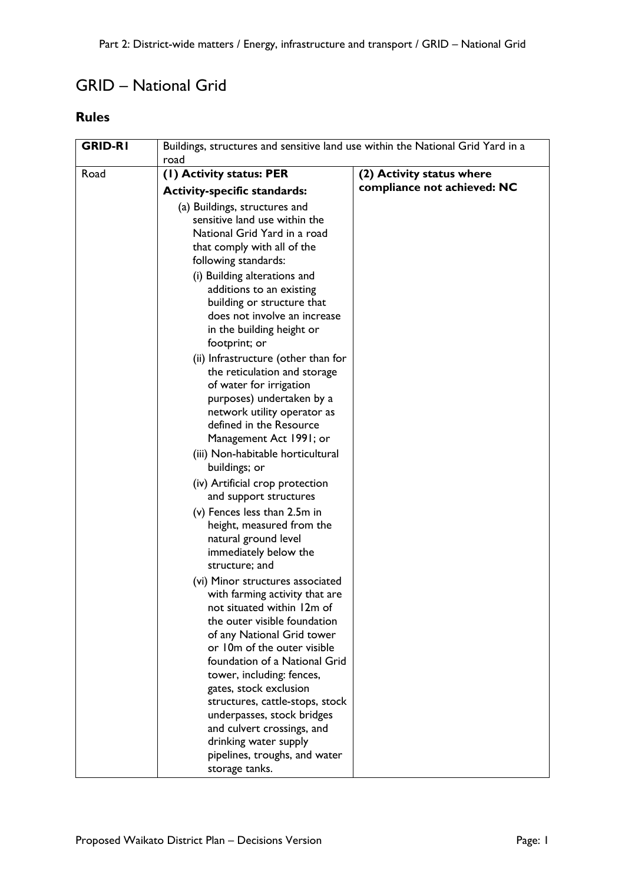## GRID – National Grid

## **Rules**

| <b>GRID-RI</b> | Buildings, structures and sensitive land use within the National Grid Yard in a<br>road |                             |
|----------------|-----------------------------------------------------------------------------------------|-----------------------------|
| Road           | (I) Activity status: PER                                                                | (2) Activity status where   |
|                | <b>Activity-specific standards:</b>                                                     | compliance not achieved: NC |
|                | (a) Buildings, structures and                                                           |                             |
|                | sensitive land use within the                                                           |                             |
|                | National Grid Yard in a road                                                            |                             |
|                | that comply with all of the                                                             |                             |
|                | following standards:                                                                    |                             |
|                | (i) Building alterations and                                                            |                             |
|                | additions to an existing                                                                |                             |
|                | building or structure that                                                              |                             |
|                | does not involve an increase                                                            |                             |
|                | in the building height or                                                               |                             |
|                | footprint; or                                                                           |                             |
|                | (ii) Infrastructure (other than for                                                     |                             |
|                | the reticulation and storage                                                            |                             |
|                | of water for irrigation                                                                 |                             |
|                | purposes) undertaken by a                                                               |                             |
|                | network utility operator as                                                             |                             |
|                | defined in the Resource                                                                 |                             |
|                | Management Act 1991; or                                                                 |                             |
|                | (iii) Non-habitable horticultural                                                       |                             |
|                | buildings; or                                                                           |                             |
|                | (iv) Artificial crop protection                                                         |                             |
|                | and support structures                                                                  |                             |
|                | (v) Fences less than 2.5m in                                                            |                             |
|                | height, measured from the                                                               |                             |
|                | natural ground level                                                                    |                             |
|                | immediately below the                                                                   |                             |
|                | structure; and                                                                          |                             |
|                | (vi) Minor structures associated                                                        |                             |
|                | with farming activity that are                                                          |                             |
|                | not situated within 12m of                                                              |                             |
|                | the outer visible foundation                                                            |                             |
|                | of any National Grid tower                                                              |                             |
|                | or 10m of the outer visible<br>foundation of a National Grid                            |                             |
|                |                                                                                         |                             |
|                | tower, including: fences,<br>gates, stock exclusion                                     |                             |
|                | structures, cattle-stops, stock                                                         |                             |
|                | underpasses, stock bridges                                                              |                             |
|                | and culvert crossings, and                                                              |                             |
|                | drinking water supply                                                                   |                             |
|                | pipelines, troughs, and water                                                           |                             |
|                | storage tanks.                                                                          |                             |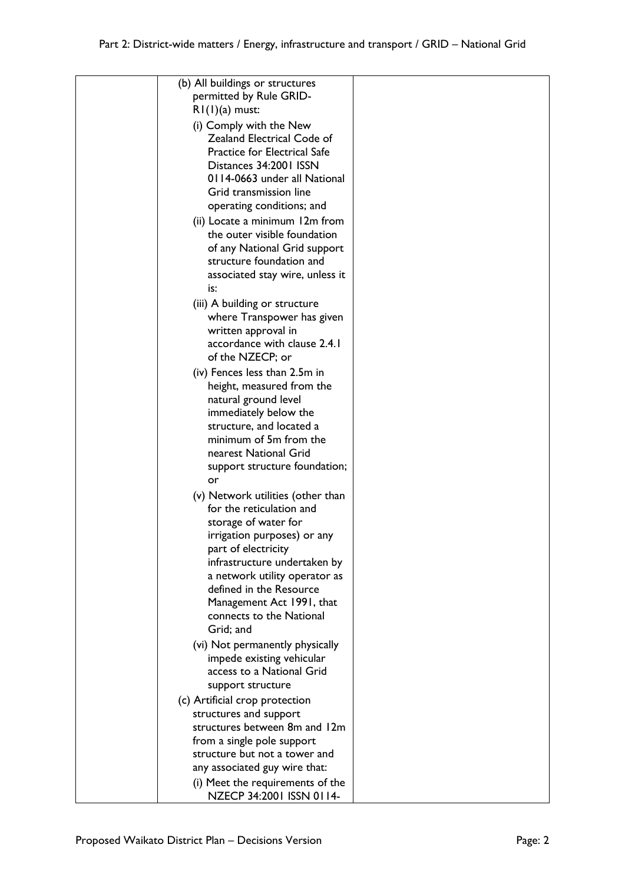| (b) All buildings or structures                         |  |
|---------------------------------------------------------|--|
| permitted by Rule GRID-                                 |  |
| $RI(1)(a)$ must:                                        |  |
| (i) Comply with the New                                 |  |
| Zealand Electrical Code of                              |  |
| Practice for Electrical Safe                            |  |
| Distances 34:2001 ISSN                                  |  |
| 0114-0663 under all National                            |  |
| Grid transmission line                                  |  |
| operating conditions; and                               |  |
| (ii) Locate a minimum 12m from                          |  |
| the outer visible foundation                            |  |
| of any National Grid support                            |  |
| structure foundation and                                |  |
| associated stay wire, unless it                         |  |
| is:                                                     |  |
| (iii) A building or structure                           |  |
| where Transpower has given                              |  |
| written approval in<br>accordance with clause 2.4.1     |  |
| of the NZECP; or                                        |  |
| (iv) Fences less than 2.5m in                           |  |
| height, measured from the                               |  |
| natural ground level                                    |  |
| immediately below the                                   |  |
| structure, and located a                                |  |
| minimum of 5m from the                                  |  |
| nearest National Grid                                   |  |
| support structure foundation;                           |  |
| or                                                      |  |
| (v) Network utilities (other than                       |  |
| for the reticulation and                                |  |
| storage of water for                                    |  |
| irrigation purposes) or any                             |  |
| part of electricity                                     |  |
| infrastructure undertaken by                            |  |
| a network utility operator as                           |  |
| defined in the Resource                                 |  |
| Management Act 1991, that<br>connects to the National   |  |
| Grid; and                                               |  |
|                                                         |  |
| (vi) Not permanently physically                         |  |
| impede existing vehicular<br>access to a National Grid  |  |
| support structure                                       |  |
|                                                         |  |
| (c) Artificial crop protection                          |  |
| structures and support<br>structures between 8m and 12m |  |
| from a single pole support                              |  |
| structure but not a tower and                           |  |
| any associated guy wire that:                           |  |
| (i) Meet the requirements of the                        |  |
| NZECP 34:2001 ISSN 0114-                                |  |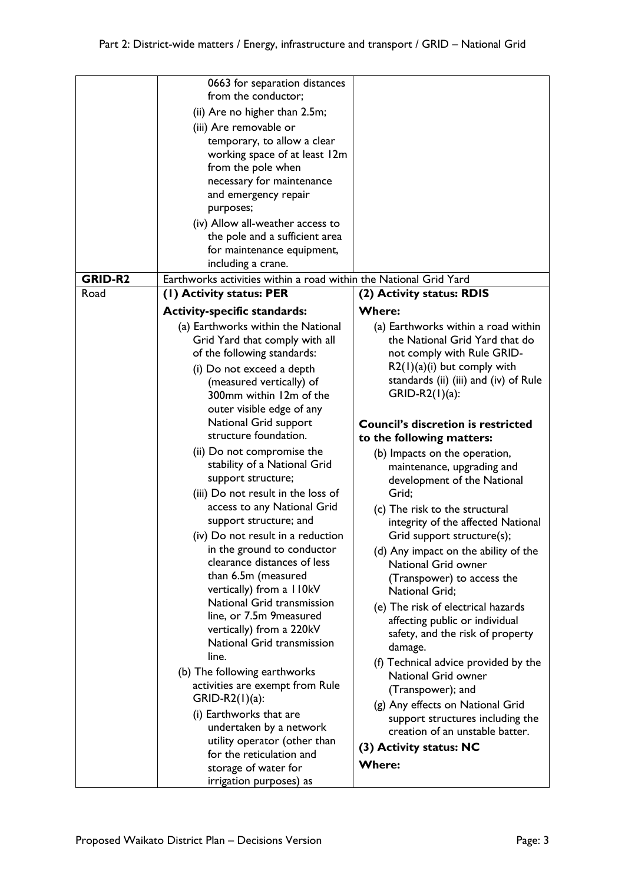|                | 0663 for separation distances<br>from the conductor;<br>(ii) Are no higher than 2.5m;<br>(iii) Are removable or<br>temporary, to allow a clear<br>working space of at least 12m<br>from the pole when<br>necessary for maintenance<br>and emergency repair                                                                                                                                                                                                                                             |                                                                                                                                                                                                                                                                                                                                                                                                                                                                               |
|----------------|--------------------------------------------------------------------------------------------------------------------------------------------------------------------------------------------------------------------------------------------------------------------------------------------------------------------------------------------------------------------------------------------------------------------------------------------------------------------------------------------------------|-------------------------------------------------------------------------------------------------------------------------------------------------------------------------------------------------------------------------------------------------------------------------------------------------------------------------------------------------------------------------------------------------------------------------------------------------------------------------------|
|                | purposes;<br>(iv) Allow all-weather access to<br>the pole and a sufficient area<br>for maintenance equipment,<br>including a crane.                                                                                                                                                                                                                                                                                                                                                                    |                                                                                                                                                                                                                                                                                                                                                                                                                                                                               |
| <b>GRID-R2</b> | Earthworks activities within a road within the National Grid Yard                                                                                                                                                                                                                                                                                                                                                                                                                                      |                                                                                                                                                                                                                                                                                                                                                                                                                                                                               |
| Road           | (1) Activity status: PER                                                                                                                                                                                                                                                                                                                                                                                                                                                                               | (2) Activity status: RDIS                                                                                                                                                                                                                                                                                                                                                                                                                                                     |
|                | Grid Yard that comply with all<br>of the following standards:<br>(i) Do not exceed a depth<br>(measured vertically) of<br>300mm within 12m of the<br>outer visible edge of any<br>National Grid support<br>structure foundation.<br>(ii) Do not compromise the<br>stability of a National Grid<br>support structure;<br>(iii) Do not result in the loss of<br>access to any National Grid<br>support structure; and<br>(iv) Do not result in a reduction                                               | the National Grid Yard that do<br>not comply with Rule GRID-<br>$R2(1)(a)(i)$ but comply with<br>standards (ii) (iii) and (iv) of Rule<br>$GRID-R2(1)(a)$ :<br><b>Council's discretion is restricted</b><br>to the following matters:<br>(b) Impacts on the operation,<br>maintenance, upgrading and<br>development of the National<br>Grid;<br>(c) The risk to the structural<br>integrity of the affected National<br>Grid support structure(s);                            |
|                | in the ground to conductor<br>clearance distances of less<br>than 6.5m (measured<br>vertically) from a 110kV<br>National Grid transmission<br>line, or 7.5m 9 measured<br>vertically) from a 220kV<br>National Grid transmission<br>line.<br>(b) The following earthworks<br>activities are exempt from Rule<br>$GRID-R2(1)(a)$ :<br>(i) Earthworks that are<br>undertaken by a network<br>utility operator (other than<br>for the reticulation and<br>storage of water for<br>irrigation purposes) as | (d) Any impact on the ability of the<br>National Grid owner<br>(Transpower) to access the<br>National Grid;<br>(e) The risk of electrical hazards<br>affecting public or individual<br>safety, and the risk of property<br>damage.<br>(f) Technical advice provided by the<br>National Grid owner<br>(Transpower); and<br>(g) Any effects on National Grid<br>support structures including the<br>creation of an unstable batter.<br>(3) Activity status: NC<br><b>Where:</b> |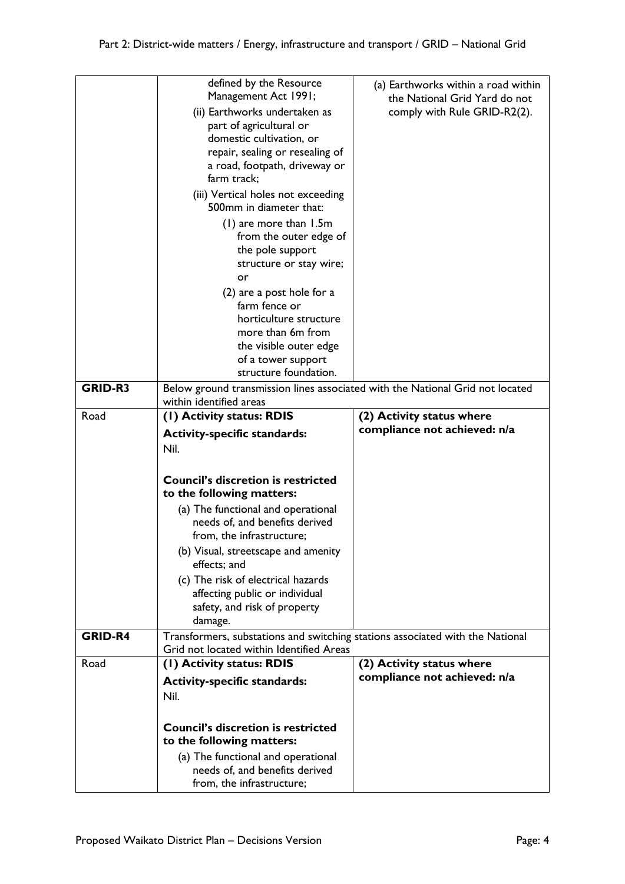|                | defined by the Resource                                                       | (a) Earthworks within a road within                           |
|----------------|-------------------------------------------------------------------------------|---------------------------------------------------------------|
|                | Management Act 1991;<br>(ii) Earthworks undertaken as                         | the National Grid Yard do not<br>comply with Rule GRID-R2(2). |
|                | part of agricultural or                                                       |                                                               |
|                | domestic cultivation, or                                                      |                                                               |
|                | repair, sealing or resealing of                                               |                                                               |
|                | a road, footpath, driveway or<br>farm track;                                  |                                                               |
|                | (iii) Vertical holes not exceeding                                            |                                                               |
|                | 500mm in diameter that:                                                       |                                                               |
|                | (1) are more than 1.5m                                                        |                                                               |
|                | from the outer edge of<br>the pole support                                    |                                                               |
|                | structure or stay wire;                                                       |                                                               |
|                | or                                                                            |                                                               |
|                | (2) are a post hole for a<br>farm fence or                                    |                                                               |
|                | horticulture structure                                                        |                                                               |
|                | more than 6m from                                                             |                                                               |
|                | the visible outer edge                                                        |                                                               |
|                | of a tower support<br>structure foundation.                                   |                                                               |
| <b>GRID-R3</b> | Below ground transmission lines associated with the National Grid not located |                                                               |
|                | within identified areas                                                       |                                                               |
| Road           | (1) Activity status: RDIS                                                     | (2) Activity status where<br>compliance not achieved: n/a     |
|                | <b>Activity-specific standards:</b>                                           |                                                               |
|                |                                                                               |                                                               |
|                | Nil.                                                                          |                                                               |
|                |                                                                               |                                                               |
|                | <b>Council's discretion is restricted</b><br>to the following matters:        |                                                               |
|                | (a) The functional and operational                                            |                                                               |
|                | needs of, and benefits derived                                                |                                                               |
|                | from, the infrastructure;                                                     |                                                               |
|                | (b) Visual, streetscape and amenity<br>effects; and                           |                                                               |
|                | (c) The risk of electrical hazards                                            |                                                               |
|                | affecting public or individual                                                |                                                               |
|                | safety, and risk of property<br>damage.                                       |                                                               |
| <b>GRID-R4</b> | Transformers, substations and switching stations associated with the National |                                                               |
|                | Grid not located within Identified Areas                                      |                                                               |
| Road           | (1) Activity status: RDIS                                                     | (2) Activity status where<br>compliance not achieved: n/a     |
|                | <b>Activity-specific standards:</b><br>Nil.                                   |                                                               |
|                |                                                                               |                                                               |
|                | <b>Council's discretion is restricted</b>                                     |                                                               |
|                | to the following matters:                                                     |                                                               |
|                | (a) The functional and operational<br>needs of, and benefits derived          |                                                               |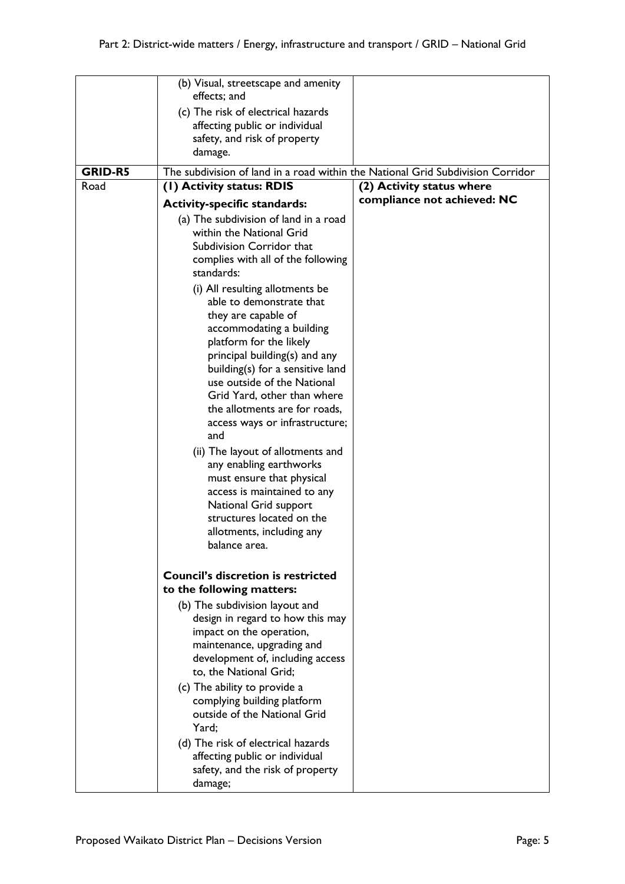|                | (b) Visual, streetscape and amenity<br>effects; and                                                                                                                                                                                                                                                                                                                                                                                                                                                                                                                                    |                             |
|----------------|----------------------------------------------------------------------------------------------------------------------------------------------------------------------------------------------------------------------------------------------------------------------------------------------------------------------------------------------------------------------------------------------------------------------------------------------------------------------------------------------------------------------------------------------------------------------------------------|-----------------------------|
|                | (c) The risk of electrical hazards<br>affecting public or individual<br>safety, and risk of property<br>damage.                                                                                                                                                                                                                                                                                                                                                                                                                                                                        |                             |
| <b>GRID-R5</b> | The subdivision of land in a road within the National Grid Subdivision Corridor                                                                                                                                                                                                                                                                                                                                                                                                                                                                                                        |                             |
| Road           | (1) Activity status: RDIS                                                                                                                                                                                                                                                                                                                                                                                                                                                                                                                                                              | (2) Activity status where   |
|                | <b>Activity-specific standards:</b>                                                                                                                                                                                                                                                                                                                                                                                                                                                                                                                                                    | compliance not achieved: NC |
|                | (a) The subdivision of land in a road<br>within the National Grid<br>Subdivision Corridor that<br>complies with all of the following<br>standards:                                                                                                                                                                                                                                                                                                                                                                                                                                     |                             |
|                | (i) All resulting allotments be<br>able to demonstrate that<br>they are capable of<br>accommodating a building<br>platform for the likely<br>principal building(s) and any<br>building(s) for a sensitive land<br>use outside of the National<br>Grid Yard, other than where<br>the allotments are for roads,<br>access ways or infrastructure;<br>and<br>(ii) The layout of allotments and<br>any enabling earthworks<br>must ensure that physical<br>access is maintained to any<br>National Grid support<br>structures located on the<br>allotments, including any<br>balance area. |                             |
|                | <b>Council's discretion is restricted</b><br>to the following matters:                                                                                                                                                                                                                                                                                                                                                                                                                                                                                                                 |                             |
|                | (b) The subdivision layout and<br>design in regard to how this may<br>impact on the operation,<br>maintenance, upgrading and<br>development of, including access<br>to, the National Grid;                                                                                                                                                                                                                                                                                                                                                                                             |                             |
|                | (c) The ability to provide a<br>complying building platform<br>outside of the National Grid<br>Yard;                                                                                                                                                                                                                                                                                                                                                                                                                                                                                   |                             |
|                | (d) The risk of electrical hazards<br>affecting public or individual<br>safety, and the risk of property<br>damage;                                                                                                                                                                                                                                                                                                                                                                                                                                                                    |                             |